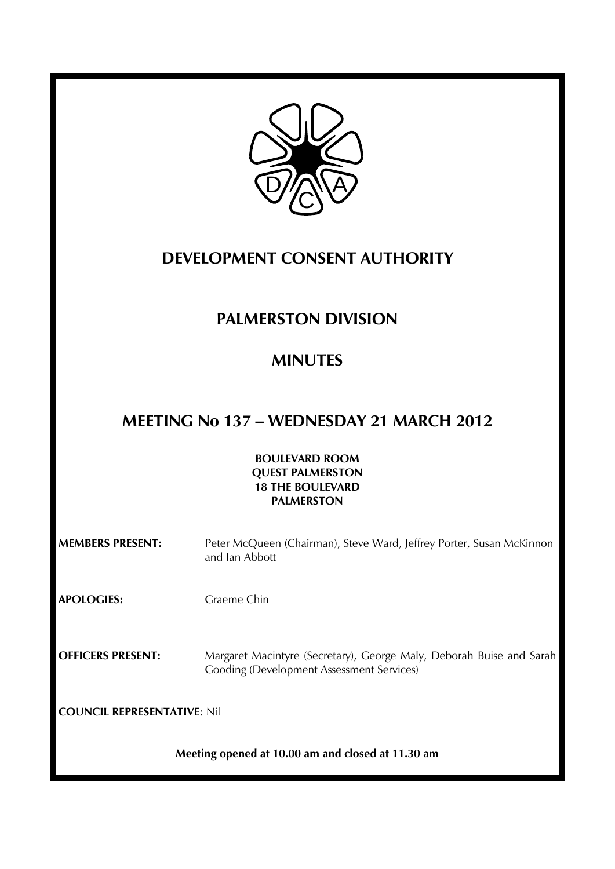

# **DEVELOPMENT CONSENT AUTHORITY**

# **PALMERSTON DIVISION**

# **MINUTES**

# **MEETING No 137 – WEDNESDAY 21 MARCH 2012**

### **BOULEVARD ROOM QUEST PALMERSTON 18 THE BOULEVARD PALMERSTON**

| <b>MEMBERS PRESENT:</b>            | Peter McQueen (Chairman), Steve Ward, Jeffrey Porter, Susan McKinnon<br>and Ian Abbott                                   |
|------------------------------------|--------------------------------------------------------------------------------------------------------------------------|
| <b>APOLOGIES:</b>                  | Graeme Chin                                                                                                              |
| <b>OFFICERS PRESENT:</b>           | Margaret Macintyre (Secretary), George Maly, Deborah Buise and Sarah<br><b>Gooding (Development Assessment Services)</b> |
| <b>COUNCIL REPRESENTATIVE: Nil</b> |                                                                                                                          |
|                                    | Meeting opened at 10.00 am and closed at 11.30 am                                                                        |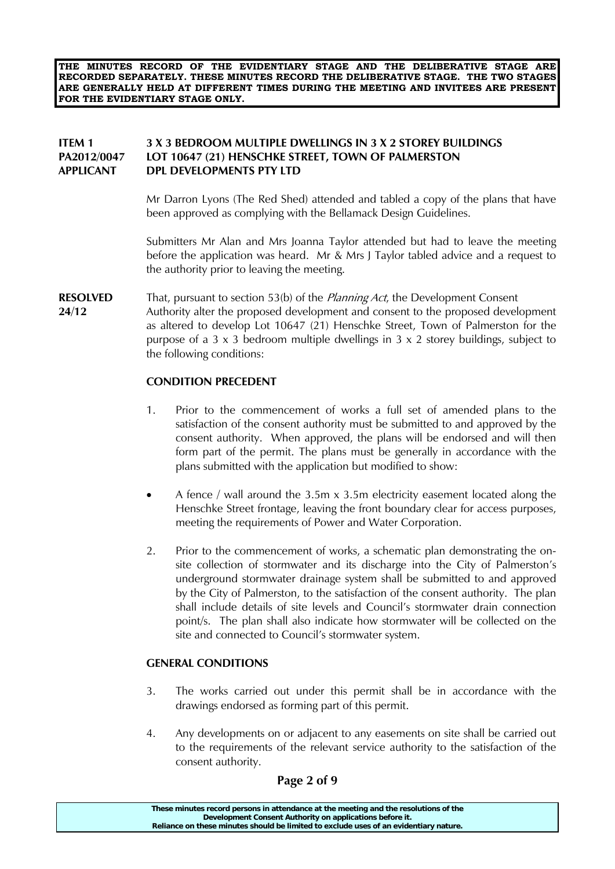**THE MINUTES RECORD OF THE EVIDENTIARY STAGE AND THE DELIBERATIVE STAGE ARE RECORDED SEPARATELY. THESE MINUTES RECORD THE DELIBERATIVE STAGE. THE TWO STAGES ARE GENERALLY HELD AT DIFFERENT TIMES DURING THE MEETING AND INVITEES ARE PRESENT FOR THE EVIDENTIARY STAGE ONLY.** 

# **ITEM 1 3 X 3 BEDROOM MULTIPLE DWELLINGS IN 3 X 2 STOREY BUILDINGS PA2012/0047 LOT 10647 (21) HENSCHKE STREET, TOWN OF PALMERSTON APPLICANT DPL DEVELOPMENTS PTY LTD**

 Mr Darron Lyons (The Red Shed) attended and tabled a copy of the plans that have been approved as complying with the Bellamack Design Guidelines.

 Submitters Mr Alan and Mrs Joanna Taylor attended but had to leave the meeting before the application was heard. Mr & Mrs J Taylor tabled advice and a request to the authority prior to leaving the meeting.

**RESOLVED** That, pursuant to section 53(b) of the *Planning Act*, the Development Consent **24/12** Authority alter the proposed development and consent to the proposed development as altered to develop Lot 10647 (21) Henschke Street, Town of Palmerston for the purpose of a  $3 \times 3$  bedroom multiple dwellings in  $3 \times 2$  storey buildings, subject to the following conditions:

#### **CONDITION PRECEDENT**

- 1. Prior to the commencement of works a full set of amended plans to the satisfaction of the consent authority must be submitted to and approved by the consent authority. When approved, the plans will be endorsed and will then form part of the permit. The plans must be generally in accordance with the plans submitted with the application but modified to show:
- A fence / wall around the 3.5m x 3.5m electricity easement located along the Henschke Street frontage, leaving the front boundary clear for access purposes, meeting the requirements of Power and Water Corporation.
- 2. Prior to the commencement of works, a schematic plan demonstrating the onsite collection of stormwater and its discharge into the City of Palmerston's underground stormwater drainage system shall be submitted to and approved by the City of Palmerston, to the satisfaction of the consent authority. The plan shall include details of site levels and Council's stormwater drain connection point/s. The plan shall also indicate how stormwater will be collected on the site and connected to Council's stormwater system.

#### **GENERAL CONDITIONS**

- 3. The works carried out under this permit shall be in accordance with the drawings endorsed as forming part of this permit.
- 4. Any developments on or adjacent to any easements on site shall be carried out to the requirements of the relevant service authority to the satisfaction of the consent authority.

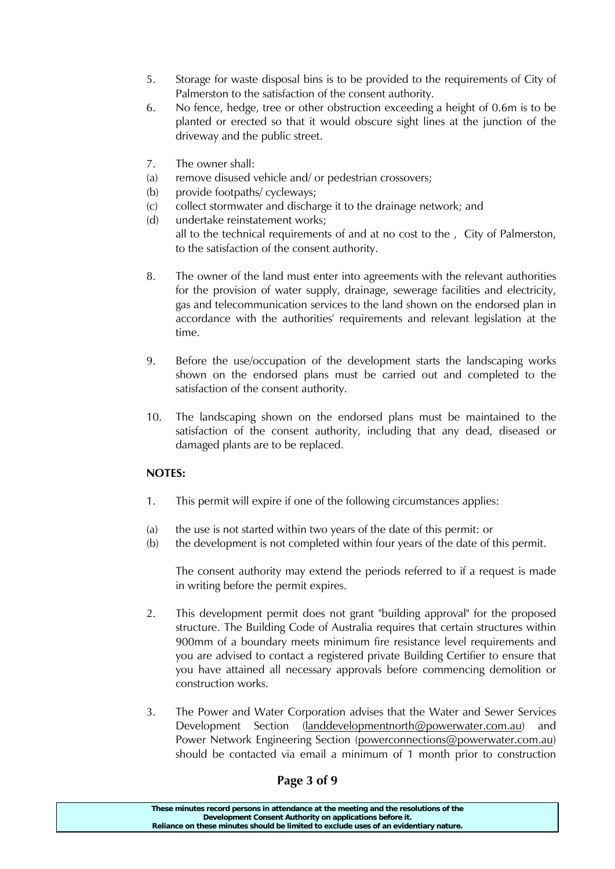- 5. Storage for waste disposal bins is to be provided to the requirements of City of Palmerston to the satisfaction of the consent authority.
- 6. No fence, hedge, tree or other obstruction exceeding a height of 0.6m is to be planted or erected so that it would obscure sight lines at the junction of the driveway and the public street.
- 7. The owner shall:
- (a) remove disused vehicle and/ or pedestrian crossovers;
- (b) provide footpaths/ cycleways;
- (c) collect stormwater and discharge it to the drainage network; and
- (d) undertake reinstatement works;

 all to the technical requirements of and at no cost to the , City of Palmerston, to the satisfaction of the consent authority.

- 8. The owner of the land must enter into agreements with the relevant authorities for the provision of water supply, drainage, sewerage facilities and electricity, gas and telecommunication services to the land shown on the endorsed plan in accordance with the authorities' requirements and relevant legislation at the time.
- 9. Before the use/occupation of the development starts the landscaping works shown on the endorsed plans must be carried out and completed to the satisfaction of the consent authority.
- 10. The landscaping shown on the endorsed plans must be maintained to the satisfaction of the consent authority, including that any dead, diseased or damaged plants are to be replaced.

# **NOTES:**

- 1. This permit will expire if one of the following circumstances applies:
- (a) the use is not started within two years of the date of this permit: or
- (b) the development is not completed within four years of the date of this permit.

 The consent authority may extend the periods referred to if a request is made in writing before the permit expires.

- 2. This development permit does not grant "building approval" for the proposed structure. The Building Code of Australia requires that certain structures within 900mm of a boundary meets minimum fire resistance level requirements and you are advised to contact a registered private Building Certifier to ensure that you have attained all necessary approvals before commencing demolition or construction works.
- 3. The Power and Water Corporation advises that the Water and Sewer Services Development Section (landdevelopmentnorth@powerwater.com.au) and Power Network Engineering Section (powerconnections@powerwater.com.au) should be contacted via email a minimum of 1 month prior to construction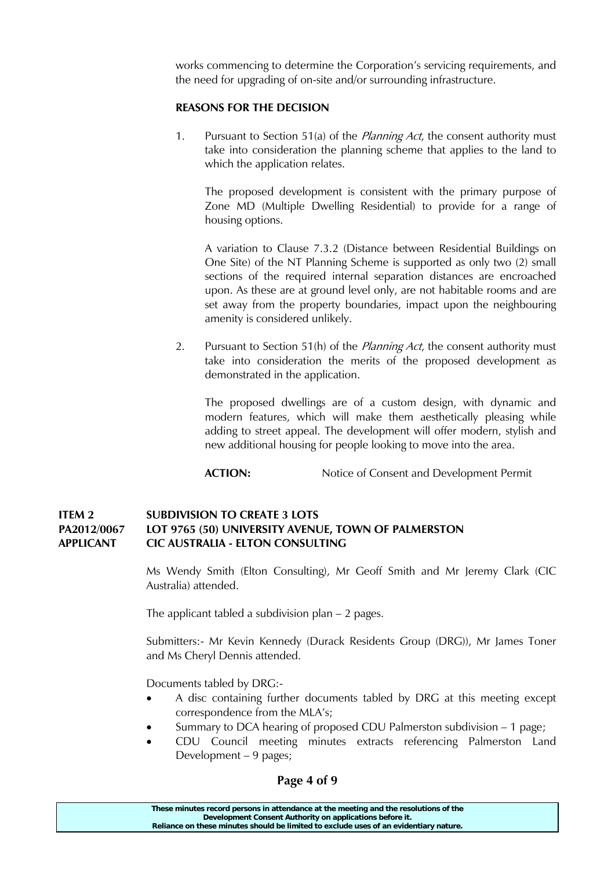works commencing to determine the Corporation's servicing requirements, and the need for upgrading of on-site and/or surrounding infrastructure.

#### **REASONS FOR THE DECISION**

1. Pursuant to Section 51(a) of the *Planning Act*, the consent authority must take into consideration the planning scheme that applies to the land to which the application relates.

 The proposed development is consistent with the primary purpose of Zone MD (Multiple Dwelling Residential) to provide for a range of housing options.

 A variation to Clause 7.3.2 (Distance between Residential Buildings on One Site) of the NT Planning Scheme is supported as only two (2) small sections of the required internal separation distances are encroached upon. As these are at ground level only, are not habitable rooms and are set away from the property boundaries, impact upon the neighbouring amenity is considered unlikely.

2. Pursuant to Section 51(h) of the *Planning Act*, the consent authority must take into consideration the merits of the proposed development as demonstrated in the application.

 The proposed dwellings are of a custom design, with dynamic and modern features, which will make them aesthetically pleasing while adding to street appeal. The development will offer modern, stylish and new additional housing for people looking to move into the area.

**ACTION:** Notice of Consent and Development Permit

#### **ITEM 2 SUBDIVISION TO CREATE 3 LOTS PA2012/0067 LOT 9765 (50) UNIVERSITY AVENUE, TOWN OF PALMERSTON APPLICANT CIC AUSTRALIA - ELTON CONSULTING**

 Ms Wendy Smith (Elton Consulting), Mr Geoff Smith and Mr Jeremy Clark (CIC Australia) attended.

The applicant tabled a subdivision plan – 2 pages.

 Submitters:- Mr Kevin Kennedy (Durack Residents Group (DRG)), Mr James Toner and Ms Cheryl Dennis attended.

Documents tabled by DRG:-

- A disc containing further documents tabled by DRG at this meeting except correspondence from the MLA's;
- Summary to DCA hearing of proposed CDU Palmerston subdivision 1 page;
- CDU Council meeting minutes extracts referencing Palmerston Land Development – 9 pages;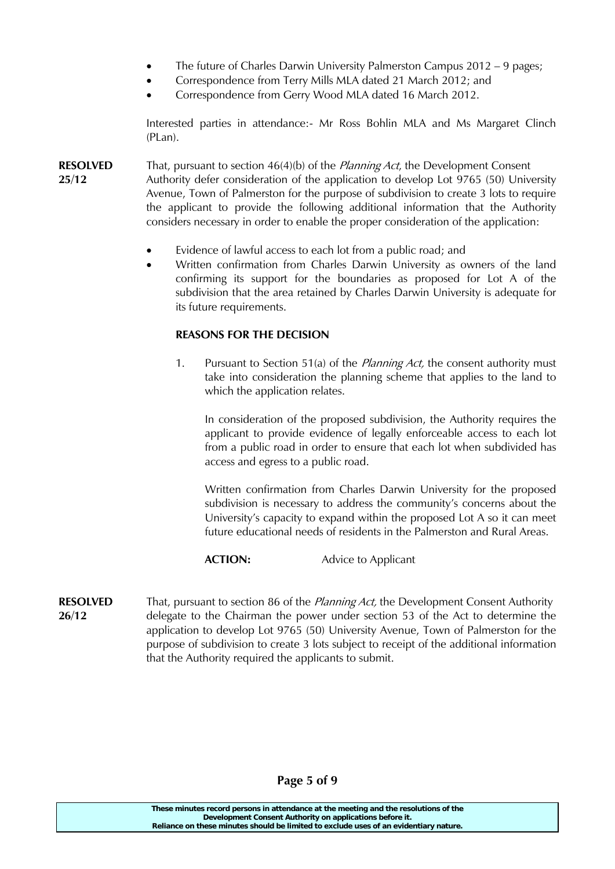- The future of Charles Darwin University Palmerston Campus 2012 9 pages;
- Correspondence from Terry Mills MLA dated 21 March 2012; and
- Correspondence from Gerry Wood MLA dated 16 March 2012.

Interested parties in attendance:- Mr Ross Bohlin MLA and Ms Margaret Clinch (PLan).

**RESOLVED** That, pursuant to section 46(4)(b) of the *Planning Act*, the Development Consent **25/12** Authority defer consideration of the application to develop Lot 9765 (50) University Avenue, Town of Palmerston for the purpose of subdivision to create 3 lots to require the applicant to provide the following additional information that the Authority considers necessary in order to enable the proper consideration of the application:

- Evidence of lawful access to each lot from a public road; and
- Written confirmation from Charles Darwin University as owners of the land confirming its support for the boundaries as proposed for Lot A of the subdivision that the area retained by Charles Darwin University is adequate for its future requirements.

#### **REASONS FOR THE DECISION**

1. Pursuant to Section 51(a) of the *Planning Act*, the consent authority must take into consideration the planning scheme that applies to the land to which the application relates.

 In consideration of the proposed subdivision, the Authority requires the applicant to provide evidence of legally enforceable access to each lot from a public road in order to ensure that each lot when subdivided has access and egress to a public road.

 Written confirmation from Charles Darwin University for the proposed subdivision is necessary to address the community's concerns about the University's capacity to expand within the proposed Lot A so it can meet future educational needs of residents in the Palmerston and Rural Areas.

#### **ACTION:** Advice to Applicant

**RESOLVED** That, pursuant to section 86 of the *Planning Act*, the Development Consent Authority **26/12** delegate to the Chairman the power under section 53 of the Act to determine the application to develop Lot 9765 (50) University Avenue, Town of Palmerston for the purpose of subdivision to create 3 lots subject to receipt of the additional information that the Authority required the applicants to submit.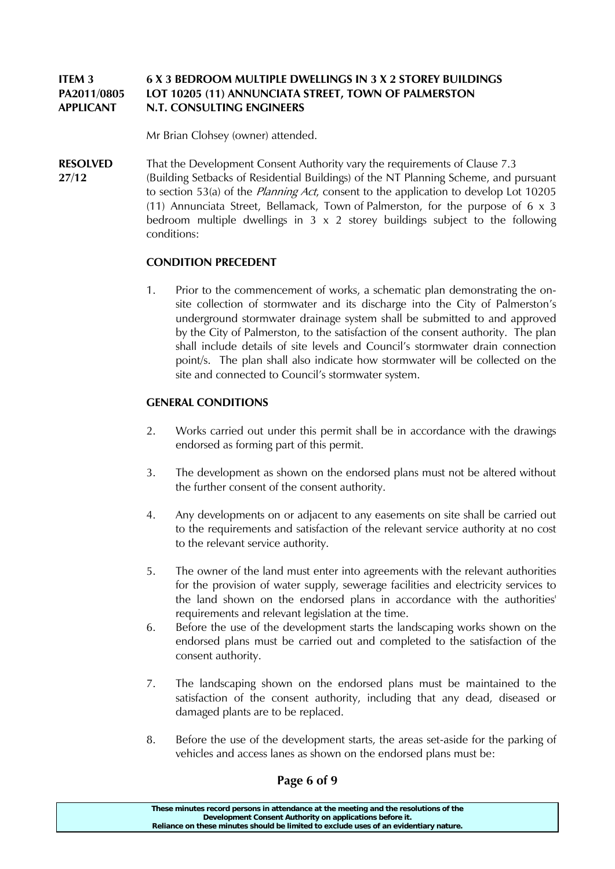# **ITEM 3 6 X 3 BEDROOM MULTIPLE DWELLINGS IN 3 X 2 STOREY BUILDINGS PA2011/0805 LOT 10205 (11) ANNUNCIATA STREET, TOWN OF PALMERSTON APPLICANT N.T. CONSULTING ENGINEERS**

Mr Brian Clohsey (owner) attended.

**RESOLVED** That the Development Consent Authority vary the requirements of Clause 7.3 **27/12** (Building Setbacks of Residential Buildings) of the NT Planning Scheme, and pursuant to section 53(a) of the *Planning Act*, consent to the application to develop Lot 10205 (11) Annunciata Street, Bellamack, Town of Palmerston, for the purpose of  $6 \times 3$ bedroom multiple dwellings in  $3 \times 2$  storey buildings subject to the following conditions:

# **CONDITION PRECEDENT**

1. Prior to the commencement of works, a schematic plan demonstrating the onsite collection of stormwater and its discharge into the City of Palmerston's underground stormwater drainage system shall be submitted to and approved by the City of Palmerston, to the satisfaction of the consent authority. The plan shall include details of site levels and Council's stormwater drain connection point/s. The plan shall also indicate how stormwater will be collected on the site and connected to Council's stormwater system.

# **GENERAL CONDITIONS**

- 2. Works carried out under this permit shall be in accordance with the drawings endorsed as forming part of this permit.
- 3. The development as shown on the endorsed plans must not be altered without the further consent of the consent authority.
- 4. Any developments on or adjacent to any easements on site shall be carried out to the requirements and satisfaction of the relevant service authority at no cost to the relevant service authority.
- 5. The owner of the land must enter into agreements with the relevant authorities for the provision of water supply, sewerage facilities and electricity services to the land shown on the endorsed plans in accordance with the authorities' requirements and relevant legislation at the time.
- 6. Before the use of the development starts the landscaping works shown on the endorsed plans must be carried out and completed to the satisfaction of the consent authority.
- 7. The landscaping shown on the endorsed plans must be maintained to the satisfaction of the consent authority, including that any dead, diseased or damaged plants are to be replaced.
- 8. Before the use of the development starts, the areas set-aside for the parking of vehicles and access lanes as shown on the endorsed plans must be:

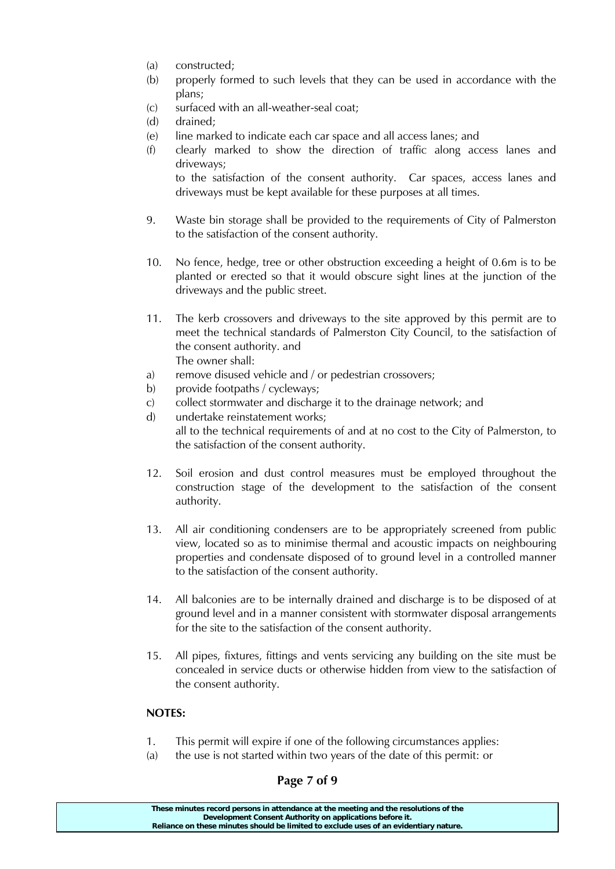- (a) constructed;
- (b) properly formed to such levels that they can be used in accordance with the plans;
- (c) surfaced with an all-weather-seal coat;
- (d) drained;
- (e) line marked to indicate each car space and all access lanes; and
- (f) clearly marked to show the direction of traffic along access lanes and driveways;

 to the satisfaction of the consent authority. Car spaces, access lanes and driveways must be kept available for these purposes at all times.

- 9. Waste bin storage shall be provided to the requirements of City of Palmerston to the satisfaction of the consent authority.
- 10. No fence, hedge, tree or other obstruction exceeding a height of 0.6m is to be planted or erected so that it would obscure sight lines at the junction of the driveways and the public street.
- 11. The kerb crossovers and driveways to the site approved by this permit are to meet the technical standards of Palmerston City Council, to the satisfaction of the consent authority. and The owner shall:
- a) remove disused vehicle and / or pedestrian crossovers;
- b) provide footpaths / cycleways;
- c) collect stormwater and discharge it to the drainage network; and
- d) undertake reinstatement works; all to the technical requirements of and at no cost to the City of Palmerston, to the satisfaction of the consent authority.
- 12. Soil erosion and dust control measures must be employed throughout the construction stage of the development to the satisfaction of the consent authority.
- 13. All air conditioning condensers are to be appropriately screened from public view, located so as to minimise thermal and acoustic impacts on neighbouring properties and condensate disposed of to ground level in a controlled manner to the satisfaction of the consent authority.
- 14. All balconies are to be internally drained and discharge is to be disposed of at ground level and in a manner consistent with stormwater disposal arrangements for the site to the satisfaction of the consent authority.
- 15. All pipes, fixtures, fittings and vents servicing any building on the site must be concealed in service ducts or otherwise hidden from view to the satisfaction of the consent authority.

# **NOTES:**

- 1. This permit will expire if one of the following circumstances applies:
- (a) the use is not started within two years of the date of this permit: or

# **Page 7 of 9**

| These minutes record persons in attendance at the meeting and the resolutions of the  |
|---------------------------------------------------------------------------------------|
| Development Consent Authority on applications before it.                              |
| Reliance on these minutes should be limited to exclude uses of an evidentiary nature. |
|                                                                                       |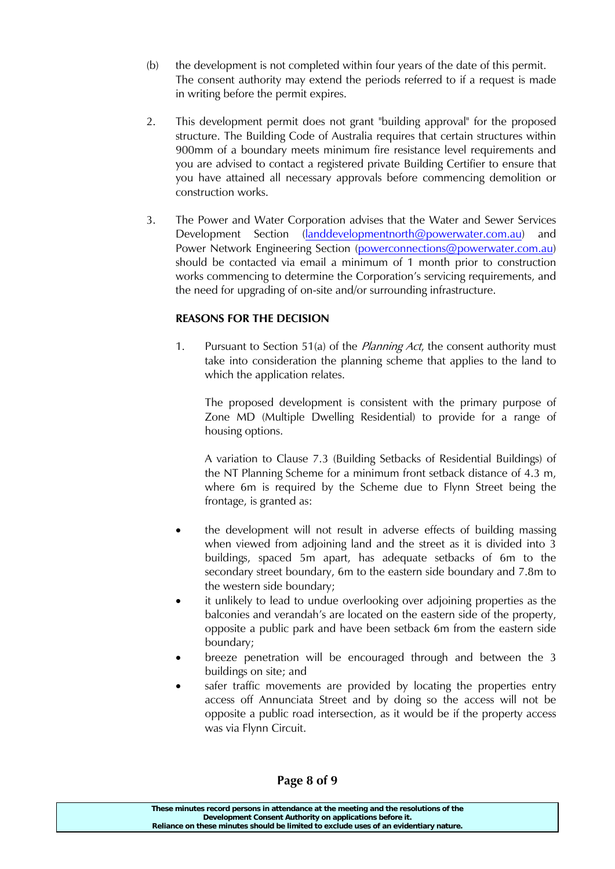- (b) the development is not completed within four years of the date of this permit. The consent authority may extend the periods referred to if a request is made in writing before the permit expires.
- 2. This development permit does not grant "building approval" for the proposed structure. The Building Code of Australia requires that certain structures within 900mm of a boundary meets minimum fire resistance level requirements and you are advised to contact a registered private Building Certifier to ensure that you have attained all necessary approvals before commencing demolition or construction works.
- 3. The Power and Water Corporation advises that the Water and Sewer Services Development Section (landdevelopmentnorth@powerwater.com.au) and Power Network Engineering Section (powerconnections@powerwater.com.au) should be contacted via email a minimum of 1 month prior to construction works commencing to determine the Corporation's servicing requirements, and the need for upgrading of on-site and/or surrounding infrastructure.

# **REASONS FOR THE DECISION**

1. Pursuant to Section 51(a) of the *Planning Act*, the consent authority must take into consideration the planning scheme that applies to the land to which the application relates.

 The proposed development is consistent with the primary purpose of Zone MD (Multiple Dwelling Residential) to provide for a range of housing options.

 A variation to Clause 7.3 (Building Setbacks of Residential Buildings) of the NT Planning Scheme for a minimum front setback distance of 4.3 m, where 6m is required by the Scheme due to Flynn Street being the frontage, is granted as:

- the development will not result in adverse effects of building massing when viewed from adjoining land and the street as it is divided into 3 buildings, spaced 5m apart, has adequate setbacks of 6m to the secondary street boundary, 6m to the eastern side boundary and 7.8m to the western side boundary;
- it unlikely to lead to undue overlooking over adjoining properties as the balconies and verandah's are located on the eastern side of the property, opposite a public park and have been setback 6m from the eastern side boundary;
- breeze penetration will be encouraged through and between the 3 buildings on site; and
- safer traffic movements are provided by locating the properties entry access off Annunciata Street and by doing so the access will not be opposite a public road intersection, as it would be if the property access was via Flynn Circuit.